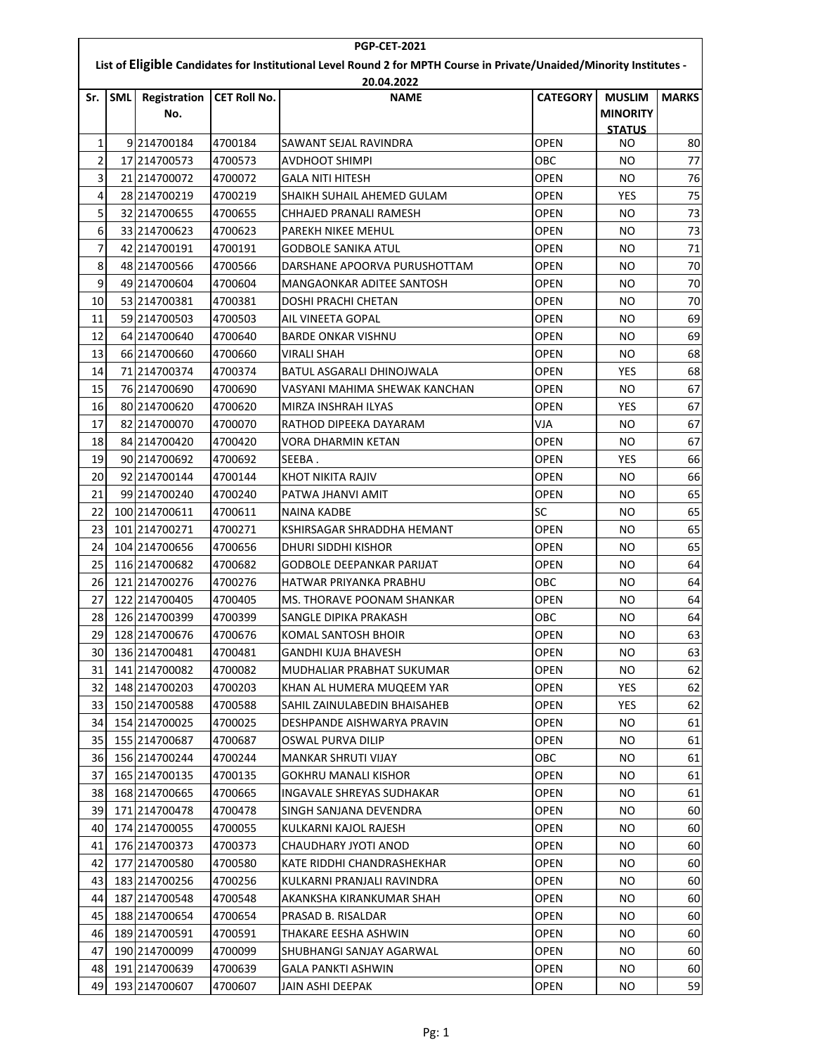| <b>PGP-CET-2021</b>                                                                                                                |            |                            |                     |                                  |                 |                                                   |              |  |  |
|------------------------------------------------------------------------------------------------------------------------------------|------------|----------------------------|---------------------|----------------------------------|-----------------|---------------------------------------------------|--------------|--|--|
| List of Eligible Candidates for Institutional Level Round 2 for MPTH Course in Private/Unaided/Minority Institutes -<br>20.04.2022 |            |                            |                     |                                  |                 |                                                   |              |  |  |
| Sr.                                                                                                                                | <b>SML</b> | <b>Registration</b><br>No. | <b>CET Roll No.</b> | <b>NAME</b>                      | <b>CATEGORY</b> | <b>MUSLIM</b><br><b>MINORITY</b><br><b>STATUS</b> | <b>MARKS</b> |  |  |
| 1                                                                                                                                  |            | 9 214700184                | 4700184             | SAWANT SEJAL RAVINDRA            | <b>OPEN</b>     | NO                                                | 80           |  |  |
| 2                                                                                                                                  |            | 17 214700573               | 4700573             | AVDHOOT SHIMPI                   | OBC             | NO                                                | 77           |  |  |
| 3                                                                                                                                  |            | 21 214700072               | 4700072             | <b>GALA NITI HITESH</b>          | <b>OPEN</b>     | NO                                                | 76           |  |  |
| 4                                                                                                                                  |            | 28 214700219               | 4700219             | SHAIKH SUHAIL AHEMED GULAM       | OPEN            | YES                                               | 75           |  |  |
| 5                                                                                                                                  |            | 32 214700655               | 4700655             | CHHAJED PRANALI RAMESH           | OPEN            | NO                                                | 73           |  |  |
| 6                                                                                                                                  |            | 33 214700623               | 4700623             | PAREKH NIKEE MEHUL               | <b>OPEN</b>     | <b>NO</b>                                         | 73           |  |  |
| 7                                                                                                                                  |            | 42 214700191               | 4700191             | <b>GODBOLE SANIKA ATUL</b>       | <b>OPEN</b>     | NO.                                               | 71           |  |  |
| 8                                                                                                                                  |            | 48 214700566               | 4700566             | DARSHANE APOORVA PURUSHOTTAM     | <b>OPEN</b>     | NO                                                | 70           |  |  |
| 9                                                                                                                                  |            | 49 214700604               | 4700604             | MANGAONKAR ADITEE SANTOSH        | OPEN            | NO                                                | 70           |  |  |
| 10                                                                                                                                 |            | 53 214700381               | 4700381             | DOSHI PRACHI CHETAN              | <b>OPEN</b>     | NO                                                | 70           |  |  |
| 11                                                                                                                                 |            | 59 214700503               | 4700503             | AIL VINEETA GOPAL                | <b>OPEN</b>     | <b>NO</b>                                         | 69           |  |  |
| 12                                                                                                                                 |            | 64 214700640               | 4700640             | <b>BARDE ONKAR VISHNU</b>        | <b>OPEN</b>     | NO.                                               | 69           |  |  |
| 13                                                                                                                                 |            | 66 214700660               | 4700660             | <b>VIRALI SHAH</b>               | <b>OPEN</b>     | NO                                                | 68           |  |  |
| 14                                                                                                                                 |            | 71 214700374               | 4700374             | BATUL ASGARALI DHINOJWALA        | OPEN            | YES                                               | 68           |  |  |
| 15                                                                                                                                 |            | 76 214700690               | 4700690             | VASYANI MAHIMA SHEWAK KANCHAN    | OPEN            | NO                                                | 67           |  |  |
| 16                                                                                                                                 |            | 80 214700620               | 4700620             | MIRZA INSHRAH ILYAS              | <b>OPEN</b>     | <b>YES</b>                                        | 67           |  |  |
| 17                                                                                                                                 |            | 82 214700070               | 4700070             | RATHOD DIPEEKA DAYARAM           | VJA             | ΝO                                                | 67           |  |  |
| 18                                                                                                                                 |            | 84 214700420               | 4700420             | VORA DHARMIN KETAN               | <b>OPEN</b>     | NO                                                | 67           |  |  |
| 19                                                                                                                                 |            | 90 214700692               | 4700692             | SEEBA.                           | <b>OPEN</b>     | YES                                               | 66           |  |  |
| 20                                                                                                                                 |            | 92 214700144               | 4700144             | KHOT NIKITA RAJIV                | <b>OPEN</b>     | NO                                                | 66           |  |  |
| 21                                                                                                                                 |            | 99 214700240               | 4700240             | PATWA JHANVI AMIT                | <b>OPEN</b>     | <b>NO</b>                                         | 65           |  |  |
| 22                                                                                                                                 |            | 100 214700611              | 4700611             | <b>NAINA KADBE</b>               | <b>SC</b>       | NO                                                | 65           |  |  |
| 23                                                                                                                                 |            | 101 214700271              | 4700271             | KSHIRSAGAR SHRADDHA HEMANT       | <b>OPEN</b>     | NO                                                | 65           |  |  |
| 24                                                                                                                                 |            | 104 214700656              | 4700656             | DHURI SIDDHI KISHOR              | <b>OPEN</b>     | NO.                                               | 65           |  |  |
| 25                                                                                                                                 |            | 116 214700682              | 4700682             | <b>GODBOLE DEEPANKAR PARIJAT</b> | <b>OPEN</b>     | NO                                                | 64           |  |  |
| 26                                                                                                                                 |            | 121 214700276              | 4700276             | HATWAR PRIYANKA PRABHU           | OBC             | NO                                                | 64           |  |  |
| 27                                                                                                                                 |            | 122 214700405              | 4700405             | MS. THORAVE POONAM SHANKAR       | <b>OPEN</b>     | NO                                                | 64           |  |  |
| 28                                                                                                                                 |            | 126 214700399              | 4700399             | SANGLE DIPIKA PRAKASH            | ОВС             | NO                                                | 64           |  |  |
| 29                                                                                                                                 |            | 128 214700676              | 4700676             | KOMAL SANTOSH BHOIR              | OPEN            | NO.                                               | 63           |  |  |
| 30                                                                                                                                 |            | 136 214700481              | 4700481             | <b>GANDHI KUJA BHAVESH</b>       | <b>OPEN</b>     | NO.                                               | 63           |  |  |
| 31                                                                                                                                 |            | 141 214700082              | 4700082             | MUDHALIAR PRABHAT SUKUMAR        | <b>OPEN</b>     | NO.                                               | 62           |  |  |
| 32                                                                                                                                 |            | 148 214700203              | 4700203             | KHAN AL HUMERA MUQEEM YAR        | OPEN            | YES.                                              | 62           |  |  |
| 33                                                                                                                                 |            | 150 214700588              | 4700588             | SAHIL ZAINULABEDIN BHAISAHEB     | <b>OPEN</b>     | <b>YES</b>                                        | 62           |  |  |
| 34                                                                                                                                 |            | 154 214700025              | 4700025             | DESHPANDE AISHWARYA PRAVIN       | OPEN            | NO.                                               | 61           |  |  |
| 35                                                                                                                                 |            | 155 214700687              | 4700687             | OSWAL PURVA DILIP                | OPEN            | NO.                                               | 61           |  |  |
| 36                                                                                                                                 |            | 156 214700244              | 4700244             | MANKAR SHRUTI VIJAY              | OBC             | NO.                                               | 61           |  |  |
| 37                                                                                                                                 |            | 165 214700135              | 4700135             | GOKHRU MANALI KISHOR             | OPEN            | NO.                                               | 61           |  |  |
| 38                                                                                                                                 |            | 168 214700665              | 4700665             | <b>INGAVALE SHREYAS SUDHAKAR</b> | <b>OPEN</b>     | NO.                                               | 61           |  |  |
| 39                                                                                                                                 |            | 171 214700478              | 4700478             | SINGH SANJANA DEVENDRA           | <b>OPEN</b>     | NO.                                               | 60           |  |  |
| 40                                                                                                                                 |            | 174 214700055              | 4700055             | KULKARNI KAJOL RAJESH            | <b>OPEN</b>     | NO.                                               | 60           |  |  |
| 41                                                                                                                                 |            | 176 214700373              | 4700373             | CHAUDHARY JYOTI ANOD             | <b>OPEN</b>     | NO.                                               | 60           |  |  |
| 42                                                                                                                                 |            | 177 214700580              | 4700580             | KATE RIDDHI CHANDRASHEKHAR       | <b>OPEN</b>     | NO.                                               | 60           |  |  |
| 43                                                                                                                                 |            | 183 214700256              | 4700256             | KULKARNI PRANJALI RAVINDRA       | OPEN            | NO.                                               | 60           |  |  |
| 44                                                                                                                                 |            | 187 214700548              | 4700548             | AKANKSHA KIRANKUMAR SHAH         | <b>OPEN</b>     | NO.                                               | 60           |  |  |
| 45                                                                                                                                 |            | 188 214700654              | 4700654             | PRASAD B. RISALDAR               | <b>OPEN</b>     | NO.                                               | 60           |  |  |
| 46                                                                                                                                 |            | 189 214700591              | 4700591             | THAKARE EESHA ASHWIN             | <b>OPEN</b>     | NO.                                               | 60           |  |  |
| 47                                                                                                                                 |            | 190 214700099              | 4700099             | SHUBHANGI SANJAY AGARWAL         | OPEN            | NO.                                               | 60           |  |  |
| 48                                                                                                                                 |            | 191 214700639              | 4700639             | GALA PANKTI ASHWIN               | <b>OPEN</b>     | <b>NO</b>                                         | 60           |  |  |
| 49                                                                                                                                 |            | 193 214700607              | 4700607             | JAIN ASHI DEEPAK                 | <b>OPEN</b>     | NO.                                               | 59           |  |  |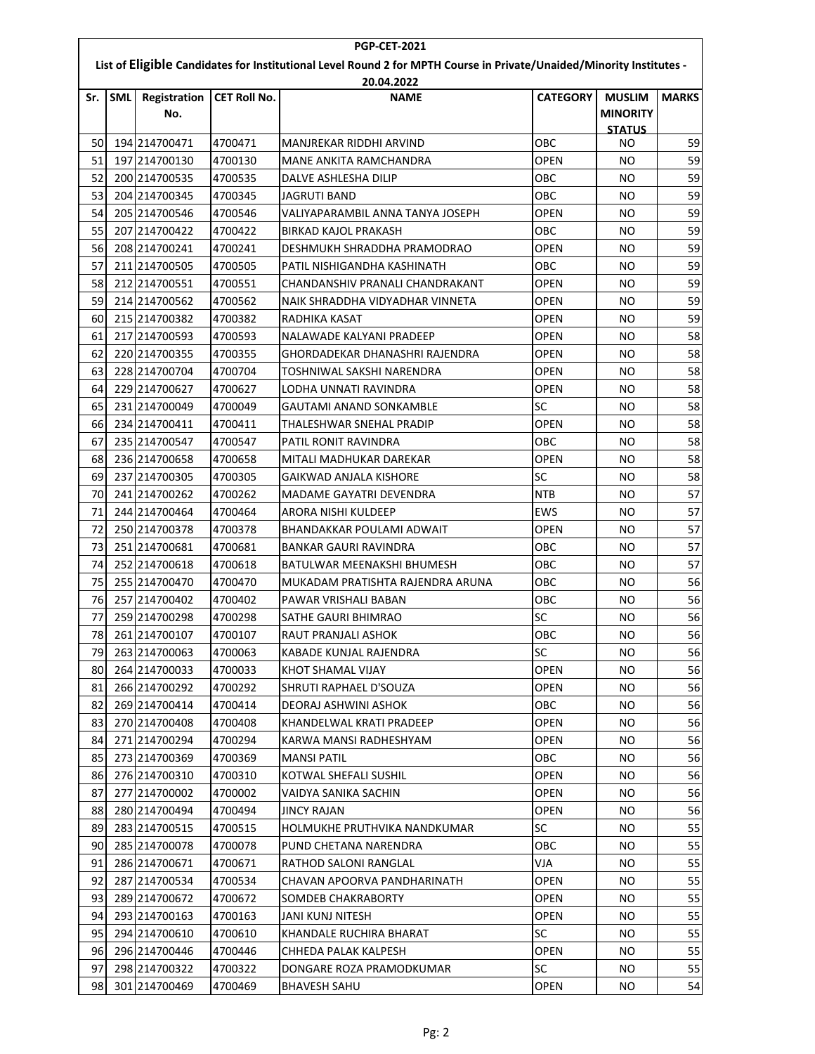| <b>PGP-CET-2021</b>                                                                                                  |            |                            |                     |                                                |                 |                                  |              |  |  |  |
|----------------------------------------------------------------------------------------------------------------------|------------|----------------------------|---------------------|------------------------------------------------|-----------------|----------------------------------|--------------|--|--|--|
| List of Eligible Candidates for Institutional Level Round 2 for MPTH Course in Private/Unaided/Minority Institutes - |            |                            |                     |                                                |                 |                                  |              |  |  |  |
|                                                                                                                      | 20.04.2022 |                            |                     |                                                |                 |                                  |              |  |  |  |
| Sr.                                                                                                                  | <b>SML</b> | <b>Registration</b><br>No. | <b>CET Roll No.</b> | <b>NAME</b>                                    | <b>CATEGORY</b> | <b>MUSLIM</b><br><b>MINORITY</b> | <b>MARKS</b> |  |  |  |
|                                                                                                                      |            |                            |                     |                                                |                 | <b>STATUS</b>                    |              |  |  |  |
| 50                                                                                                                   |            | 194 214700471              | 4700471             | MANJREKAR RIDDHI ARVIND                        | OBC             | NO                               | 59           |  |  |  |
| 51                                                                                                                   |            | 197 214700130              | 4700130             | MANE ANKITA RAMCHANDRA                         | <b>OPEN</b>     | NO                               | 59           |  |  |  |
| 52                                                                                                                   |            | 200 214700535              | 4700535             | DALVE ASHLESHA DILIP                           | OBC             | NO                               | 59           |  |  |  |
| 53                                                                                                                   |            | 204 214700345              | 4700345             | <b>JAGRUTI BAND</b>                            | OBC             | NO.                              | 59           |  |  |  |
| 54                                                                                                                   |            | 205 214700546              | 4700546             | VALIYAPARAMBIL ANNA TANYA JOSEPH               | OPEN            | NO                               | 59           |  |  |  |
| 55                                                                                                                   |            | 207 214700422              | 4700422             | <b>BIRKAD KAJOL PRAKASH</b>                    | овс             | NO                               | 59           |  |  |  |
| 56                                                                                                                   |            | 208 214700241              | 4700241             | DESHMUKH SHRADDHA PRAMODRAO                    | OPEN            | NO                               | 59           |  |  |  |
| 57                                                                                                                   |            | 211 214700505              | 4700505             | PATIL NISHIGANDHA KASHINATH                    | ОВС             | NO                               | 59           |  |  |  |
| 58                                                                                                                   |            | 212 214700551              | 4700551             | CHANDANSHIV PRANALI CHANDRAKANT                | OPEN            | NO.                              | 59           |  |  |  |
| 59                                                                                                                   |            | 214 214700562              | 4700562             | NAIK SHRADDHA VIDYADHAR VINNETA                | <b>OPEN</b>     | NO                               | 59           |  |  |  |
| 60                                                                                                                   |            | 215 214700382              | 4700382             | RADHIKA KASAT                                  | OPEN            | NO                               | 59           |  |  |  |
| 61                                                                                                                   |            | 217 214700593              | 4700593             | NALAWADE KALYANI PRADEEP                       | <b>OPEN</b>     | NO                               | 58           |  |  |  |
| 62                                                                                                                   |            | 220 214700355              | 4700355             | GHORDADEKAR DHANASHRI RAJENDRA                 | <b>OPEN</b>     | NO                               | 58           |  |  |  |
| 63                                                                                                                   |            | 228 214700704              | 4700704             | TOSHNIWAL SAKSHI NARENDRA                      | OPEN            | NO                               | 58           |  |  |  |
| 64                                                                                                                   |            | 229 214700627              | 4700627             | LODHA UNNATI RAVINDRA                          | OPEN            | NO                               | 58           |  |  |  |
| 65                                                                                                                   |            | 231 214700049              | 4700049             | GAUTAMI ANAND SONKAMBLE                        | SC              | NO.                              | 58           |  |  |  |
| 66                                                                                                                   |            | 234 214700411              | 4700411             | THALESHWAR SNEHAL PRADIP                       | <b>OPEN</b>     | NO                               | 58           |  |  |  |
| 67                                                                                                                   |            | 235 214700547              | 4700547             | PATIL RONIT RAVINDRA                           | ОВС             | <b>NO</b>                        | 58           |  |  |  |
| 68                                                                                                                   |            | 236 214700658              | 4700658             | MITALI MADHUKAR DAREKAR                        | <b>OPEN</b>     | ΝO                               | 58           |  |  |  |
| 69                                                                                                                   |            | 237 214700305              | 4700305             | GAIKWAD ANJALA KISHORE                         | <b>SC</b>       | NO                               | 58           |  |  |  |
| 70                                                                                                                   |            | 241 214700262              | 4700262             | MADAME GAYATRI DEVENDRA                        | NTB             | NO.                              | 57           |  |  |  |
| 71                                                                                                                   |            | 244 214700464              | 4700464             | ARORA NISHI KULDEEP                            | <b>EWS</b>      | NO                               | 57           |  |  |  |
| 72                                                                                                                   |            | 250 214700378              | 4700378             | BHANDAKKAR POULAMI ADWAIT                      | <b>OPEN</b>     | NO                               | 57           |  |  |  |
| 73                                                                                                                   |            | 251 214700681              | 4700681             | <b>BANKAR GAURI RAVINDRA</b>                   | OBC             | NO.                              | 57           |  |  |  |
| 74                                                                                                                   |            | 252 214700618              | 4700618             | BATULWAR MEENAKSHI BHUMESH                     | овс             | NO                               | 57           |  |  |  |
| 75                                                                                                                   |            | 255 214700470              | 4700470             | MUKADAM PRATISHTA RAJENDRA ARUNA               | овс             | ΝO                               | 56           |  |  |  |
| 76                                                                                                                   |            | 257 214700402              | 4700402             | PAWAR VRISHALI BABAN                           | OBC             | NO                               | 56           |  |  |  |
| 77                                                                                                                   |            | 259 214700298              | 4700298             | <b>SATHE GAURI BHIMRAO</b>                     | SC              | NO                               | 56           |  |  |  |
| 78                                                                                                                   |            | 261 214700107              | 4700107             | RAUT PRANJALI ASHOK                            | OBC             | NO.                              | 56           |  |  |  |
| 79                                                                                                                   |            | 263 214700063              | 4700063             | KABADE KUNJAL RAJENDRA                         | SC              | NO.                              | 56           |  |  |  |
| 80                                                                                                                   |            | 264 214700033              | 4700033             | KHOT SHAMAL VIJAY                              | <b>OPEN</b>     | NO.                              | 56           |  |  |  |
| 81                                                                                                                   |            | 266 214700292              | 4700292             | SHRUTI RAPHAEL D'SOUZA                         | <b>OPEN</b>     | NO.                              | 56           |  |  |  |
| 82                                                                                                                   |            | 269 214700414              | 4700414             | DEORAJ ASHWINI ASHOK                           | ОВС             | NO.                              | 56           |  |  |  |
| 83                                                                                                                   |            | 270 214700408              | 4700408             | KHANDELWAL KRATI PRADEEP                       | OPEN            | NO.                              | 56           |  |  |  |
| 84                                                                                                                   |            | 271 214700294              | 4700294             | KARWA MANSI RADHESHYAM                         | OPEN            | NO.                              | 56           |  |  |  |
| 85                                                                                                                   |            | 273 214700369              | 4700369             | MANSI PATIL                                    | ОВС             | NO.                              | 56           |  |  |  |
| 86                                                                                                                   |            | 276 214700310              | 4700310             | KOTWAL SHEFALI SUSHIL                          | <b>OPEN</b>     | NO.                              | 56           |  |  |  |
| 87                                                                                                                   |            | 277 214700002              | 4700002             | VAIDYA SANIKA SACHIN                           | <b>OPEN</b>     | NO.                              | 56           |  |  |  |
| 88                                                                                                                   |            | 280 214700494              | 4700494             | JINCY RAJAN                                    | <b>OPEN</b>     | NO.                              | 56           |  |  |  |
| 89                                                                                                                   |            | 283 214700515              | 4700515             | HOLMUKHE PRUTHVIKA NANDKUMAR                   | SC              | NO.                              | 55           |  |  |  |
| 90                                                                                                                   |            | 285 214700078              |                     |                                                | ОВС             |                                  | 55           |  |  |  |
| 91                                                                                                                   |            | 286 214700671              | 4700078<br>4700671  | PUND CHETANA NARENDRA<br>RATHOD SALONI RANGLAL | VJA             | NO.<br>NO.                       | 55           |  |  |  |
| 92                                                                                                                   |            | 287 214700534              | 4700534             | CHAVAN APOORVA PANDHARINATH                    | OPEN            | NO.                              | 55           |  |  |  |
| 93                                                                                                                   |            | 289 214700672              | 4700672             |                                                | OPEN            |                                  | 55           |  |  |  |
|                                                                                                                      |            |                            |                     | SOMDEB CHAKRABORTY                             |                 | NO.                              | 55           |  |  |  |
| 94                                                                                                                   |            | 293 214700163              | 4700163             | <b>JANI KUNJ NITESH</b>                        | <b>OPEN</b>     | NO.                              |              |  |  |  |
| 95                                                                                                                   |            | 294 214700610              | 4700610             | KHANDALE RUCHIRA BHARAT                        | SC              | NO.                              | 55           |  |  |  |
| 96                                                                                                                   |            | 296 214700446              | 4700446             | CHHEDA PALAK KALPESH                           | <b>OPEN</b>     | NO.                              | 55           |  |  |  |
| 97                                                                                                                   |            | 298 214700322              | 4700322             | DONGARE ROZA PRAMODKUMAR                       | SC              | NO.                              | 55           |  |  |  |
| 98                                                                                                                   |            | 301 214700469              | 4700469             | <b>BHAVESH SAHU</b>                            | <b>OPEN</b>     | NO.                              | 54           |  |  |  |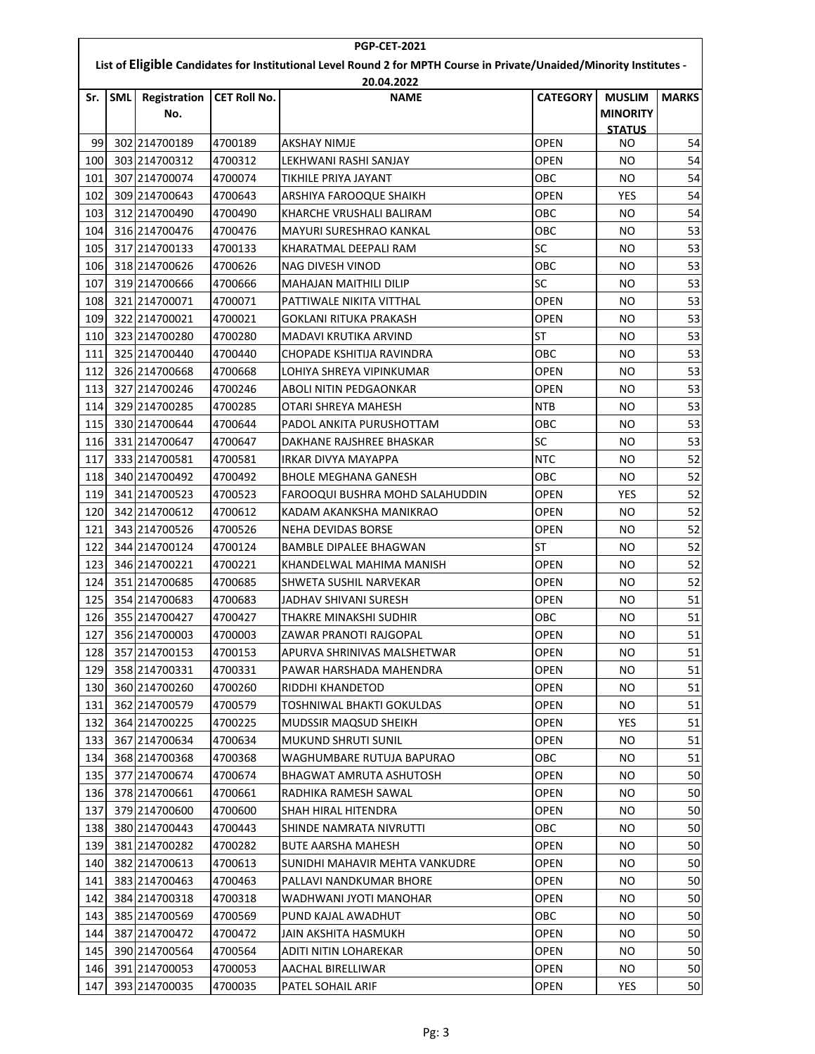| <b>PGP-CET-2021</b>                                                                                                                |            |                            |                     |                                 |                 |                                                   |              |  |  |
|------------------------------------------------------------------------------------------------------------------------------------|------------|----------------------------|---------------------|---------------------------------|-----------------|---------------------------------------------------|--------------|--|--|
| List of Eligible Candidates for Institutional Level Round 2 for MPTH Course in Private/Unaided/Minority Institutes -<br>20.04.2022 |            |                            |                     |                                 |                 |                                                   |              |  |  |
| Sr.                                                                                                                                | <b>SML</b> | <b>Registration</b><br>No. | <b>CET Roll No.</b> | <b>NAME</b>                     | <b>CATEGORY</b> | <b>MUSLIM</b><br><b>MINORITY</b><br><b>STATUS</b> | <b>MARKS</b> |  |  |
| 99                                                                                                                                 |            | 302 214700189              | 4700189             | <b>AKSHAY NIMJE</b>             | <b>OPEN</b>     | NO                                                | 54           |  |  |
| 100                                                                                                                                |            | 303 214700312              | 4700312             | LEKHWANI RASHI SANJAY           | <b>OPEN</b>     | NO                                                | 54           |  |  |
| 101                                                                                                                                |            | 307 214700074              | 4700074             | TIKHILE PRIYA JAYANT            | OBC             | NO                                                | 54           |  |  |
| 102                                                                                                                                |            | 309 214700643              | 4700643             | ARSHIYA FAROOQUE SHAIKH         | <b>OPEN</b>     | YES                                               | 54           |  |  |
| 103                                                                                                                                |            | 312 214700490              | 4700490             | KHARCHE VRUSHALI BALIRAM        | овс             | NO                                                | 54           |  |  |
| 104                                                                                                                                |            | 316 214700476              | 4700476             | <b>MAYURI SURESHRAO KANKAL</b>  | OBC             | <b>NO</b>                                         | 53           |  |  |
| 105                                                                                                                                |            | 317 214700133              | 4700133             | KHARATMAL DEEPALI RAM           | SC              | NO                                                | 53           |  |  |
| 106                                                                                                                                |            | 318 214700626              | 4700626             | <b>NAG DIVESH VINOD</b>         | OBC             | NO                                                | 53           |  |  |
| 107                                                                                                                                |            | 319 214700666              | 4700666             | <b>MAHAJAN MAITHILI DILIP</b>   | SC              | NO                                                | 53           |  |  |
| 108                                                                                                                                |            | 321 214700071              | 4700071             | PATTIWALE NIKITA VITTHAL        | <b>OPEN</b>     | NO                                                | 53           |  |  |
| 109                                                                                                                                |            | 322 214700021              | 4700021             | <b>GOKLANI RITUKA PRAKASH</b>   | <b>OPEN</b>     | <b>NO</b>                                         | 53           |  |  |
| 110                                                                                                                                |            | 323 214700280              | 4700280             | MADAVI KRUTIKA ARVIND           | <b>ST</b>       | NO                                                | 53           |  |  |
| 111                                                                                                                                |            | 325 214700440              | 4700440             | CHOPADE KSHITIJA RAVINDRA       | OBC             | NO                                                | 53           |  |  |
| 112                                                                                                                                |            | 326 214700668              | 4700668             | LOHIYA SHREYA VIPINKUMAR        | <b>OPEN</b>     | NO                                                | 53           |  |  |
| 113                                                                                                                                |            | 327 214700246              | 4700246             | ABOLI NITIN PEDGAONKAR          | <b>OPEN</b>     | NO                                                | 53           |  |  |
| 114                                                                                                                                |            | 329 214700285              | 4700285             | OTARI SHREYA MAHESH             | <b>NTB</b>      | NO                                                | 53           |  |  |
| 115                                                                                                                                |            | 330 214700644              | 4700644             | PADOL ANKITA PURUSHOTTAM        | OBC             | NO                                                | 53           |  |  |
| 116                                                                                                                                |            | 331 214700647              | 4700647             | DAKHANE RAJSHREE BHASKAR        | <b>SC</b>       | NO                                                | 53           |  |  |
| 117                                                                                                                                |            | 333 214700581              | 4700581             | IRKAR DIVYA MAYAPPA             | <b>NTC</b>      | NO                                                | 52           |  |  |
| 118                                                                                                                                |            | 340 214700492              | 4700492             | <b>BHOLE MEGHANA GANESH</b>     | овс             | NO                                                | 52           |  |  |
| 119                                                                                                                                |            | 341 214700523              | 4700523             | FAROOQUI BUSHRA MOHD SALAHUDDIN | <b>OPEN</b>     | <b>YES</b>                                        | 52           |  |  |
| 120                                                                                                                                |            | 342 214700612              | 4700612             | KADAM AKANKSHA MANIKRAO         | OPEN            | NO                                                | 52           |  |  |
| 121                                                                                                                                |            | 343 214700526              | 4700526             | <b>NEHA DEVIDAS BORSE</b>       | <b>OPEN</b>     | NO                                                | 52           |  |  |
| 122                                                                                                                                |            | 344 214700124              | 4700124             | BAMBLE DIPALEE BHAGWAN          | <b>ST</b>       | NO.                                               | 52           |  |  |
| 123                                                                                                                                |            | 346 214700221              | 4700221             | KHANDELWAL MAHIMA MANISH        | <b>OPEN</b>     | NO                                                | 52           |  |  |
| 124                                                                                                                                |            | 351 214700685              | 4700685             | SHWETA SUSHIL NARVEKAR          | <b>OPEN</b>     | NO                                                | 52           |  |  |
| 125                                                                                                                                |            | 354 214700683              | 4700683             | JADHAV SHIVANI SURESH           | <b>OPEN</b>     | NO                                                | 51           |  |  |
| 126                                                                                                                                |            | 355 214700427              | 4700427             | THAKRE MINAKSHI SUDHIR          | овс             | NO                                                | 51           |  |  |
| 127                                                                                                                                |            | 356 214700003              | 4700003             | ZAWAR PRANOTI RAJGOPAL          | <b>OPEN</b>     | NO.                                               | 51           |  |  |
| 1281                                                                                                                               |            | 357 214700153              | 4700153             | APURVA SHRINIVAS MALSHETWAR     | <b>OPEN</b>     | NO.                                               | 51           |  |  |
| 129                                                                                                                                |            | 358 214700331              | 4700331             | PAWAR HARSHADA MAHENDRA         | OPEN            | NO.                                               | 51           |  |  |
| 130                                                                                                                                |            | 360 214700260              | 4700260             | RIDDHI KHANDETOD                | <b>OPEN</b>     | NO.                                               | 51           |  |  |
| 131                                                                                                                                |            | 362 214700579              | 4700579             | TOSHNIWAL BHAKTI GOKULDAS       | <b>OPEN</b>     | NO.                                               | 51           |  |  |
| 132                                                                                                                                |            | 364 214700225              | 4700225             | MUDSSIR MAQSUD SHEIKH           | OPEN            | YES.                                              | 51           |  |  |
| 133                                                                                                                                |            | 367 214700634              | 4700634             | <b>MUKUND SHRUTI SUNIL</b>      | OPEN            | NO.                                               | 51           |  |  |
| 134                                                                                                                                |            | 368 214700368              | 4700368             | WAGHUMBARE RUTUJA BAPURAO       | OBC             | NO.                                               | 51           |  |  |
| 135                                                                                                                                |            | 377 214700674              | 4700674             | BHAGWAT AMRUTA ASHUTOSH         | OPEN            | NO.                                               | 50           |  |  |
| 136                                                                                                                                |            | 378 214700661              | 4700661             | RADHIKA RAMESH SAWAL            | <b>OPEN</b>     | NO.                                               | 50           |  |  |
| 137                                                                                                                                |            | 379 214700600              | 4700600             | SHAH HIRAL HITENDRA             | <b>OPEN</b>     | NO.                                               | 50           |  |  |
| 138                                                                                                                                |            | 380 214700443              | 4700443             | SHINDE NAMRATA NIVRUTTI         | OBC             | NO.                                               | 50           |  |  |
| 139                                                                                                                                |            | 381 214700282              | 4700282             | BUTE AARSHA MAHESH              | OPEN            | NO.                                               | 50           |  |  |
| 140                                                                                                                                |            | 382 214700613              | 4700613             | SUNIDHI MAHAVIR MEHTA VANKUDRE  | OPEN            | NO.                                               | 50           |  |  |
| 141                                                                                                                                |            | 383 214700463              | 4700463             | PALLAVI NANDKUMAR BHORE         | <b>OPEN</b>     | NO.                                               | 50           |  |  |
| 142                                                                                                                                |            | 384 214700318              | 4700318             | WADHWANI JYOTI MANOHAR          | OPEN            | NO.                                               | 50           |  |  |
| 143                                                                                                                                |            | 385 214700569              | 4700569             | PUND KAJAL AWADHUT              | OBC             | NO.                                               | 50           |  |  |
| 144                                                                                                                                |            | 387 214700472              | 4700472             | JAIN AKSHITA HASMUKH            | OPEN            | NO.                                               | 50           |  |  |
| 145                                                                                                                                |            | 390 214700564              | 4700564             | ADITI NITIN LOHAREKAR           | OPEN            | NO.                                               | 50           |  |  |
| 146                                                                                                                                |            | 391 214700053              | 4700053             | AACHAL BIRELLIWAR               | <b>OPEN</b>     | NO.                                               | 50           |  |  |
| 147                                                                                                                                |            | 393 214700035              | 4700035             | PATEL SOHAIL ARIF               | OPEN            | YES                                               | 50           |  |  |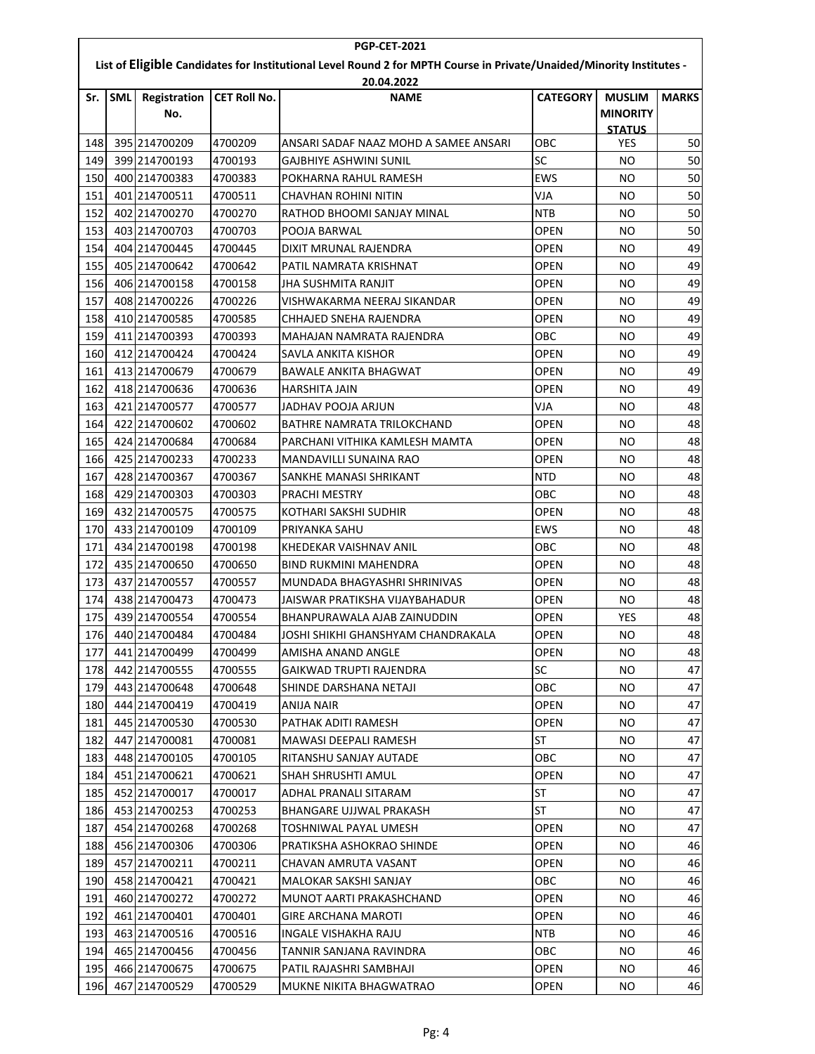| <b>PGP-CET-2021</b>                                                                                                  |            |                            |                     |                                       |                 |                                  |              |  |  |  |  |
|----------------------------------------------------------------------------------------------------------------------|------------|----------------------------|---------------------|---------------------------------------|-----------------|----------------------------------|--------------|--|--|--|--|
| List of Eligible Candidates for Institutional Level Round 2 for MPTH Course in Private/Unaided/Minority Institutes - |            |                            |                     |                                       |                 |                                  |              |  |  |  |  |
|                                                                                                                      | 20.04.2022 |                            |                     |                                       |                 |                                  |              |  |  |  |  |
| Sr.                                                                                                                  | <b>SML</b> | <b>Registration</b><br>No. | <b>CET Roll No.</b> | <b>NAME</b>                           | <b>CATEGORY</b> | <b>MUSLIM</b><br><b>MINORITY</b> | <b>MARKS</b> |  |  |  |  |
|                                                                                                                      |            |                            |                     |                                       |                 | <b>STATUS</b>                    |              |  |  |  |  |
| 148                                                                                                                  |            | 395 214700209              | 4700209             | ANSARI SADAF NAAZ MOHD A SAMEE ANSARI | OBC             | YES                              | 50           |  |  |  |  |
| 149                                                                                                                  |            | 399 214700193              | 4700193             | GAJBHIYE ASHWINI SUNIL                | <b>SC</b>       | NO                               | 50           |  |  |  |  |
| 150                                                                                                                  |            | 400 214700383              | 4700383             | POKHARNA RAHUL RAMESH                 | <b>EWS</b>      | NO                               | 50           |  |  |  |  |
| 151                                                                                                                  |            | 401 214700511              | 4700511             | CHAVHAN ROHINI NITIN                  | VJA             | NO                               | 50           |  |  |  |  |
| 152                                                                                                                  |            | 402 214700270              | 4700270             | RATHOD BHOOMI SANJAY MINAL            | <b>NTB</b>      | NO                               | 50           |  |  |  |  |
| 153                                                                                                                  |            | 403 214700703              | 4700703             | POOJA BARWAL                          | OPEN            | NO                               | 50           |  |  |  |  |
| 154                                                                                                                  |            | 404 214700445              | 4700445             | DIXIT MRUNAL RAJENDRA                 | <b>OPEN</b>     | NO                               | 49           |  |  |  |  |
| 155                                                                                                                  |            | 405 214700642              | 4700642             | PATIL NAMRATA KRISHNAT                | OPEN            | <b>NO</b>                        | 49           |  |  |  |  |
| 156                                                                                                                  |            | 406 214700158              | 4700158             | JHA SUSHMITA RANJIT                   | <b>OPEN</b>     | NO                               | 49           |  |  |  |  |
| 157                                                                                                                  |            | 408 214700226              | 4700226             | VISHWAKARMA NEERAJ SIKANDAR           | <b>OPEN</b>     | NO                               | 49           |  |  |  |  |
| 158                                                                                                                  |            | 410 214700585              | 4700585             | CHHAJED SNEHA RAJENDRA                | OPEN            | NO                               | 49           |  |  |  |  |
| 159                                                                                                                  |            | 411 214700393              | 4700393             | MAHAJAN NAMRATA RAJENDRA              | OBC             | NO                               | 49           |  |  |  |  |
| 160                                                                                                                  |            | 412 214700424              | 4700424             | SAVLA ANKITA KISHOR                   | <b>OPEN</b>     | NO                               | 49           |  |  |  |  |
| 161                                                                                                                  |            | 413 214700679              | 4700679             | <b>BAWALE ANKITA BHAGWAT</b>          | <b>OPEN</b>     | NO                               | 49           |  |  |  |  |
| 162                                                                                                                  |            | 418 214700636              | 4700636             | HARSHITA JAIN                         | <b>OPEN</b>     | NO                               | 49           |  |  |  |  |
| 163                                                                                                                  |            | 421 214700577              | 4700577             | JADHAV POOJA ARJUN                    | VJA             | NO                               | 48           |  |  |  |  |
| 164                                                                                                                  |            | 422 214700602              | 4700602             | <b>BATHRE NAMRATA TRILOKCHAND</b>     | OPEN            | NO                               | 48           |  |  |  |  |
| 165                                                                                                                  |            | 424 214700684              | 4700684             | PARCHANI VITHIKA KAMLESH MAMTA        | OPEN            | <b>NO</b>                        | 48           |  |  |  |  |
| 166                                                                                                                  |            | 425 214700233              | 4700233             | MANDAVILLI SUNAINA RAO                | <b>OPEN</b>     | NO                               | 48           |  |  |  |  |
| 167                                                                                                                  |            | 428 214700367              | 4700367             | SANKHE MANASI SHRIKANT                | <b>NTD</b>      | NO                               | 48           |  |  |  |  |
| 168                                                                                                                  |            | 429 214700303              | 4700303             | PRACHI MESTRY                         | OBC             | NO                               | 48           |  |  |  |  |
| 169                                                                                                                  |            | 432 214700575              | 4700575             | KOTHARI SAKSHI SUDHIR                 | <b>OPEN</b>     | NO                               | 48           |  |  |  |  |
| 170                                                                                                                  |            | 433 214700109              | 4700109             | PRIYANKA SAHU                         | EWS             | NO                               | 48           |  |  |  |  |
| 171                                                                                                                  |            | 434 214700198              | 4700198             | KHEDEKAR VAISHNAV ANIL                | OBC             | NO                               | 48           |  |  |  |  |
| 172                                                                                                                  |            | 435 214700650              | 4700650             | <b>BIND RUKMINI MAHENDRA</b>          | OPEN            | NO                               | 48           |  |  |  |  |
| 173                                                                                                                  |            | 437 214700557              | 4700557             | MUNDADA BHAGYASHRI SHRINIVAS          | OPEN            | NO                               | 48           |  |  |  |  |
| 174                                                                                                                  |            | 438 214700473              | 4700473             | JAISWAR PRATIKSHA VIJAYBAHADUR        | <b>OPEN</b>     | NO                               | 48           |  |  |  |  |
| 175                                                                                                                  |            | 439 214700554              | 4700554             | BHANPURAWALA AJAB ZAINUDDIN           | <b>OPEN</b>     | <b>YES</b>                       | 48           |  |  |  |  |
| 176                                                                                                                  |            | 440 214700484              | 4700484             | JOSHI SHIKHI GHANSHYAM CHANDRAKALA    | OPEN            | <b>NO</b>                        | 48           |  |  |  |  |
| 177                                                                                                                  |            | 441 214700499              | 4700499             | AMISHA ANAND ANGLE                    | OPEN            | NO.                              | 48           |  |  |  |  |
| 178                                                                                                                  |            | 442 214700555              | 4700555             | GAIKWAD TRUPTI RAJENDRA               | SC              | NO.                              | 47           |  |  |  |  |
| 179                                                                                                                  |            | 443 214700648              | 4700648             | SHINDE DARSHANA NETAJI                | OBC             | NO.                              | 47           |  |  |  |  |
| 180                                                                                                                  |            | 444 214700419              | 4700419             | ANIJA NAIR                            | <b>OPEN</b>     | NO.                              | 47           |  |  |  |  |
| 181                                                                                                                  |            | 445 214700530              | 4700530             | PATHAK ADITI RAMESH                   | <b>OPEN</b>     | NO.                              | 47           |  |  |  |  |
| 182                                                                                                                  |            | 447 214700081              | 4700081             | MAWASI DEEPALI RAMESH                 | <b>ST</b>       | NO.                              | 47           |  |  |  |  |
| 183                                                                                                                  |            | 448 214700105              | 4700105             | RITANSHU SANJAY AUTADE                | ОВС             | NO.                              | 47           |  |  |  |  |
| 184                                                                                                                  |            | 451 214700621              | 4700621             | <b>SHAH SHRUSHTI AMUL</b>             | <b>OPEN</b>     | NO.                              | 47           |  |  |  |  |
| 185                                                                                                                  |            | 452 214700017              | 4700017             | ADHAL PRANALI SITARAM                 | <b>ST</b>       | NO.                              | 47           |  |  |  |  |
| 186                                                                                                                  |            | 453 214700253              | 4700253             | BHANGARE UJJWAL PRAKASH               | <b>ST</b>       | NO.                              | 47           |  |  |  |  |
| 187                                                                                                                  |            | 454 214700268              | 4700268             | TOSHNIWAL PAYAL UMESH                 | OPEN            | NO.                              | 47           |  |  |  |  |
| 188                                                                                                                  |            | 456 214700306              | 4700306             | PRATIKSHA ASHOKRAO SHINDE             | OPEN            | NO.                              | 46           |  |  |  |  |
| 189                                                                                                                  |            | 457 214700211              | 4700211             | CHAVAN AMRUTA VASANT                  | <b>OPEN</b>     | NO.                              | 46           |  |  |  |  |
| 190                                                                                                                  |            | 458 214700421              | 4700421             | MALOKAR SAKSHI SANJAY                 | ОВС             | NO.                              | 46           |  |  |  |  |
| 191                                                                                                                  |            | 460 214700272              | 4700272             | MUNOT AARTI PRAKASHCHAND              | OPEN            | NO.                              | 46           |  |  |  |  |
| 192                                                                                                                  |            | 461 214700401              | 4700401             | GIRE ARCHANA MAROTI                   | OPEN            | NO.                              | 46           |  |  |  |  |
| 193                                                                                                                  |            | 463 214700516              | 4700516             | INGALE VISHAKHA RAJU                  | NTB             | NO.                              | 46           |  |  |  |  |
| 194                                                                                                                  |            | 465 214700456              | 4700456             | TANNIR SANJANA RAVINDRA               | OBC             | NO.                              | 46           |  |  |  |  |
| 195                                                                                                                  |            | 466 214700675              | 4700675             | PATIL RAJASHRI SAMBHAJI               | OPEN            | NO.                              | 46           |  |  |  |  |
| 196                                                                                                                  |            | 467 214700529              | 4700529             | MUKNE NIKITA BHAGWATRAO               | <b>OPEN</b>     | NO.                              | 46           |  |  |  |  |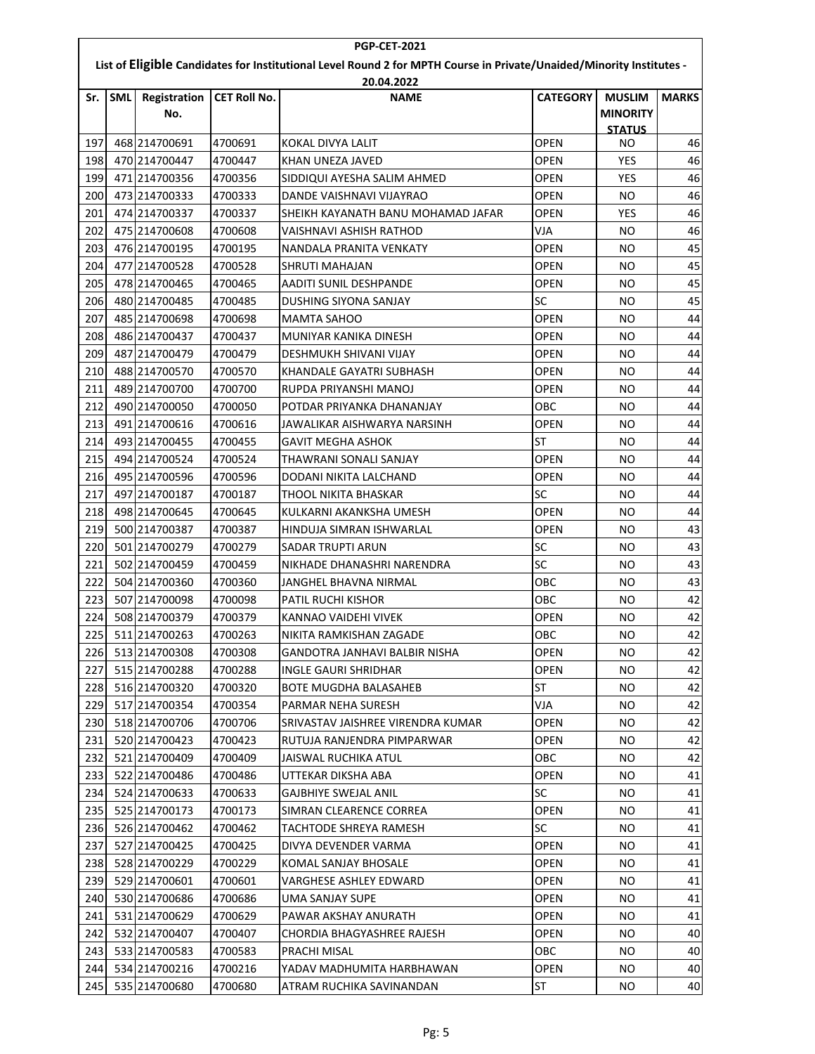| <b>PGP-CET-2021</b>                                                                                                  |            |                            |                     |                                    |                 |                                  |              |  |  |  |  |
|----------------------------------------------------------------------------------------------------------------------|------------|----------------------------|---------------------|------------------------------------|-----------------|----------------------------------|--------------|--|--|--|--|
| List of Eligible Candidates for Institutional Level Round 2 for MPTH Course in Private/Unaided/Minority Institutes - |            |                            |                     |                                    |                 |                                  |              |  |  |  |  |
|                                                                                                                      | 20.04.2022 |                            |                     |                                    |                 |                                  |              |  |  |  |  |
| Sr.                                                                                                                  | <b>SML</b> | <b>Registration</b><br>No. | <b>CET Roll No.</b> | <b>NAME</b>                        | <b>CATEGORY</b> | <b>MUSLIM</b><br><b>MINORITY</b> | <b>MARKS</b> |  |  |  |  |
| 197                                                                                                                  |            | 468 214700691              | 4700691             | KOKAL DIVYA LALIT                  | <b>OPEN</b>     | <b>STATUS</b><br>NO              | 46           |  |  |  |  |
| 198                                                                                                                  |            | 470 214700447              | 4700447             | KHAN UNEZA JAVED                   | <b>OPEN</b>     | <b>YES</b>                       | 46           |  |  |  |  |
| 199                                                                                                                  |            | 471 214700356              | 4700356             | SIDDIQUI AYESHA SALIM AHMED        | <b>OPEN</b>     | <b>YES</b>                       | 46           |  |  |  |  |
| 200                                                                                                                  |            | 473 214700333              | 4700333             | DANDE VAISHNAVI VIJAYRAO           | <b>OPEN</b>     | NO.                              | 46           |  |  |  |  |
| 201                                                                                                                  |            | 474 214700337              | 4700337             | SHEIKH KAYANATH BANU MOHAMAD JAFAR | OPEN            | YES                              | 46           |  |  |  |  |
| 202                                                                                                                  |            | 475 214700608              | 4700608             | VAISHNAVI ASHISH RATHOD            | VJA             | NO.                              | 46           |  |  |  |  |
| 203                                                                                                                  |            | 476 214700195              | 4700195             | NANDALA PRANITA VENKATY            | OPEN            | NO                               | 45           |  |  |  |  |
| 204                                                                                                                  |            | 477 214700528              | 4700528             | SHRUTI MAHAJAN                     | <b>OPEN</b>     | <b>NO</b>                        | 45           |  |  |  |  |
| 205                                                                                                                  |            | 478 214700465              | 4700465             | AADITI SUNIL DESHPANDE             | <b>OPEN</b>     | NO.                              | 45           |  |  |  |  |
| 206                                                                                                                  |            | 480 214700485              | 4700485             | DUSHING SIYONA SANJAY              | <b>SC</b>       | NO                               | 45           |  |  |  |  |
| 207                                                                                                                  |            | 485 214700698              | 4700698             | MAMTA SAHOO                        | <b>OPEN</b>     | NO                               | 44           |  |  |  |  |
| 208                                                                                                                  |            | 486 214700437              | 4700437             | MUNIYAR KANIKA DINESH              | <b>OPEN</b>     | NO                               | 44           |  |  |  |  |
| 209                                                                                                                  |            | 487 214700479              | 4700479             | <b>DESHMUKH SHIVANI VIJAY</b>      | <b>OPEN</b>     | NO                               | 44           |  |  |  |  |
| 210                                                                                                                  |            | 488 214700570              | 4700570             | KHANDALE GAYATRI SUBHASH           | OPEN            | NO                               | 44           |  |  |  |  |
| 211                                                                                                                  |            | 489 214700700              | 4700700             | RUPDA PRIYANSHI MANOJ              | <b>OPEN</b>     | NO                               | 44           |  |  |  |  |
| 212                                                                                                                  |            | 490 214700050              | 4700050             | POTDAR PRIYANKA DHANANJAY          | овс             | NO                               | 44           |  |  |  |  |
| 213                                                                                                                  |            | 491 214700616              | 4700616             | JAWALIKAR AISHWARYA NARSINH        | <b>OPEN</b>     | NO                               | 44           |  |  |  |  |
| 214                                                                                                                  |            | 493 214700455              | 4700455             | <b>GAVIT MEGHA ASHOK</b>           | <b>ST</b>       | <b>NO</b>                        | 44           |  |  |  |  |
| 215                                                                                                                  |            | 494 214700524              | 4700524             | THAWRANI SONALI SANJAY             | <b>OPEN</b>     | NO                               | 44           |  |  |  |  |
| 216                                                                                                                  |            | 495 214700596              | 4700596             | DODANI NIKITA LALCHAND             | <b>OPEN</b>     | NO                               | 44           |  |  |  |  |
| 217                                                                                                                  |            | 497 214700187              | 4700187             | THOOL NIKITA BHASKAR               | SC              | NO                               | 44           |  |  |  |  |
| 218                                                                                                                  |            | 498 214700645              | 4700645             | KULKARNI AKANKSHA UMESH            | <b>OPEN</b>     | NO                               | 44           |  |  |  |  |
| 219                                                                                                                  |            | 500 214700387              | 4700387             | HINDUJA SIMRAN ISHWARLAL           | <b>OPEN</b>     | NO                               | 43           |  |  |  |  |
| 220                                                                                                                  |            | 501 214700279              | 4700279             | <b>SADAR TRUPTI ARUN</b>           | SC              | NO                               | 43           |  |  |  |  |
| 221                                                                                                                  |            | 502 214700459              | 4700459             | NIKHADE DHANASHRI NARENDRA         | SC              | NO.                              | 43           |  |  |  |  |
| 222                                                                                                                  |            | 504 214700360              | 4700360             | JANGHEL BHAVNA NIRMAL              | OBC             | NO                               | 43           |  |  |  |  |
| 223                                                                                                                  |            | 507 214700098              | 4700098             | PATIL RUCHI KISHOR                 | OBC             | NO                               | 42           |  |  |  |  |
| 224                                                                                                                  |            | 508 214700379              | 4700379             | KANNAO VAIDEHI VIVEK               | <b>OPEN</b>     | NO                               | 42           |  |  |  |  |
| 225                                                                                                                  |            | 511 214700263              | 4700263             | NIKITA RAMKISHAN ZAGADE            | OBC             | NO.                              | 42           |  |  |  |  |
| 226                                                                                                                  |            | 513 214700308              | 4700308             | GANDOTRA JANHAVI BALBIR NISHA      | OPEN            | NO.                              | 42           |  |  |  |  |
| 2271                                                                                                                 |            | 515 214700288              | 4700288             | INGLE GAURI SHRIDHAR               | <b>OPEN</b>     | NO.                              | 42           |  |  |  |  |
| 228                                                                                                                  |            | 516 214700320              | 4700320             | <b>BOTE MUGDHA BALASAHEB</b>       | <b>ST</b>       | NO.                              | 42           |  |  |  |  |
| 229                                                                                                                  |            | 517 214700354              | 4700354             | PARMAR NEHA SURESH                 | VJA             | NO.                              | 42           |  |  |  |  |
| 230                                                                                                                  |            | 518 214700706              | 4700706             | SRIVASTAV JAISHREE VIRENDRA KUMAR  | OPEN            | NO.                              | 42           |  |  |  |  |
| 231                                                                                                                  |            | 520 214700423              | 4700423             | RUTUJA RANJENDRA PIMPARWAR         | OPEN            | NO.                              | 42           |  |  |  |  |
| 232                                                                                                                  |            | 521 214700409              | 4700409             | JAISWAL RUCHIKA ATUL               | ОВС             | NO.                              | 42           |  |  |  |  |
| 233                                                                                                                  |            | 522 214700486              | 4700486             | UTTEKAR DIKSHA ABA                 | <b>OPEN</b>     | NO.                              | 41           |  |  |  |  |
| 234                                                                                                                  |            | 524 214700633              | 4700633             | <b>GAJBHIYE SWEJAL ANIL</b>        | SC              | NO.                              | 41           |  |  |  |  |
| 235                                                                                                                  |            | 525 214700173              | 4700173             | SIMRAN CLEARENCE CORREA            | <b>OPEN</b>     | NO.                              | 41           |  |  |  |  |
| 236                                                                                                                  |            | 526 214700462              | 4700462             | TACHTODE SHREYA RAMESH             | SC              | NO.                              | 41           |  |  |  |  |
| 237                                                                                                                  |            | 527 214700425              | 4700425             | DIVYA DEVENDER VARMA               | OPEN            | NO.                              | 41           |  |  |  |  |
| 238                                                                                                                  |            | 528 214700229              | 4700229             | KOMAL SANJAY BHOSALE               | <b>OPEN</b>     | NO.                              | 41           |  |  |  |  |
| 239                                                                                                                  |            | 529 214700601              | 4700601             | VARGHESE ASHLEY EDWARD             | <b>OPEN</b>     | NO.                              | 41           |  |  |  |  |
| 240                                                                                                                  |            | 530 214700686              | 4700686             | UMA SANJAY SUPE                    | OPEN            | NO.                              | 41           |  |  |  |  |
| 241                                                                                                                  |            | 531 214700629              | 4700629             | PAWAR AKSHAY ANURATH               | <b>OPEN</b>     | NO.                              | 41           |  |  |  |  |
| 242                                                                                                                  |            | 532 214700407              | 4700407             | CHORDIA BHAGYASHREE RAJESH         | OPEN            | NO.                              | 40           |  |  |  |  |
| 243                                                                                                                  |            | 533 214700583              | 4700583             | PRACHI MISAL                       | OBC             | NO.                              | 40           |  |  |  |  |
| 244                                                                                                                  |            | 534 214700216              | 4700216             | YADAV MADHUMITA HARBHAWAN          | <b>OPEN</b>     | NO.                              | 40           |  |  |  |  |
| 245                                                                                                                  |            | 535 214700680              | 4700680             | ATRAM RUCHIKA SAVINANDAN           | ST              | NO.                              | 40           |  |  |  |  |